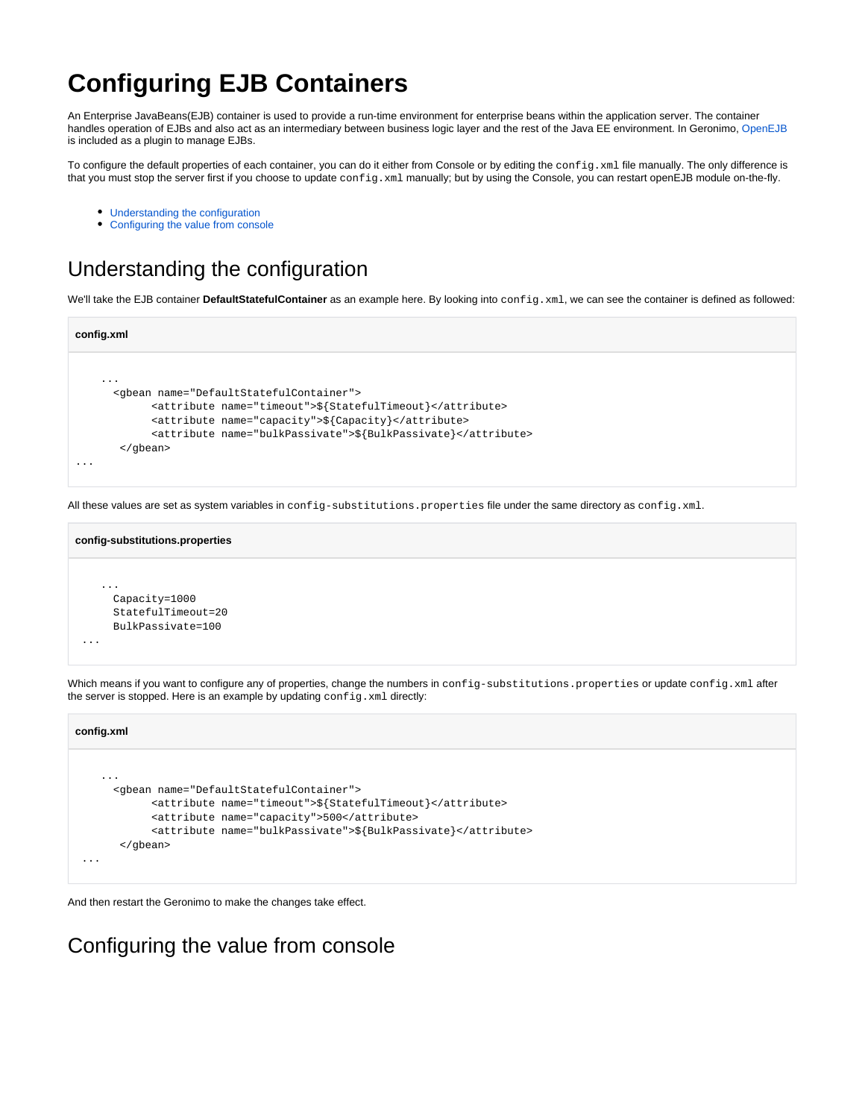## **Configuring EJB Containers**

An Enterprise JavaBeans(EJB) container is used to provide a run-time environment for enterprise beans within the application server. The container handles operation of EJBs and also act as an intermediary between business logic layer and the rest of the Java EE environment. In Geronimo, [OpenEJB](http://openejb.apache.org/) is included as a plugin to manage EJBs.

To configure the default properties of each container, you can do it either from Console or by editing the config.xml file manually. The only difference is that you must stop the server first if you choose to update config.xml manually; but by using the Console, you can restart openEJB module on-the-fly.

- [Understanding the configuration](#page-0-0)
- [Configuring the value from console](#page-0-1)

## <span id="page-0-0"></span>Understanding the configuration

We'll take the EJB container **DefaultStatefulContainer** as an example here. By looking into config.xml, we can see the container is defined as followed:

```
config.xml
 ... 
       <gbean name="DefaultStatefulContainer">
             <attribute name="timeout">${StatefulTimeout}</attribute>
             <attribute name="capacity">${Capacity}</attribute>
             <attribute name="bulkPassivate">${BulkPassivate}</attribute>
        </gbean>
...
```
All these values are set as system variables in config-substitutions.properties file under the same directory as config.xml.

```
config-substitutions.properties
 ... 
       Capacity=1000
       StatefulTimeout=20
       BulkPassivate=100
  ...
```
Which means if you want to configure any of properties, change the numbers in config-substitutions.properties or update config.xml after the server is stopped. Here is an example by updating config.xml directly:

| config.xml                                                    |  |
|---------------------------------------------------------------|--|
|                                                               |  |
| $\cdots$                                                      |  |
| <qbean name="DefaultStatefulContainer"></qbean>               |  |
| <attribute name="timeout">\${StatefulTimeout}</attribute>     |  |
| <attribute name="capacity">500</attribute>                    |  |
| <attribute name="bulkPassivate">\${BulkPassivate}</attribute> |  |
| $\langle$ qbean>                                              |  |
| $\cdots$                                                      |  |
|                                                               |  |
|                                                               |  |

And then restart the Geronimo to make the changes take effect.

<span id="page-0-1"></span>Configuring the value from console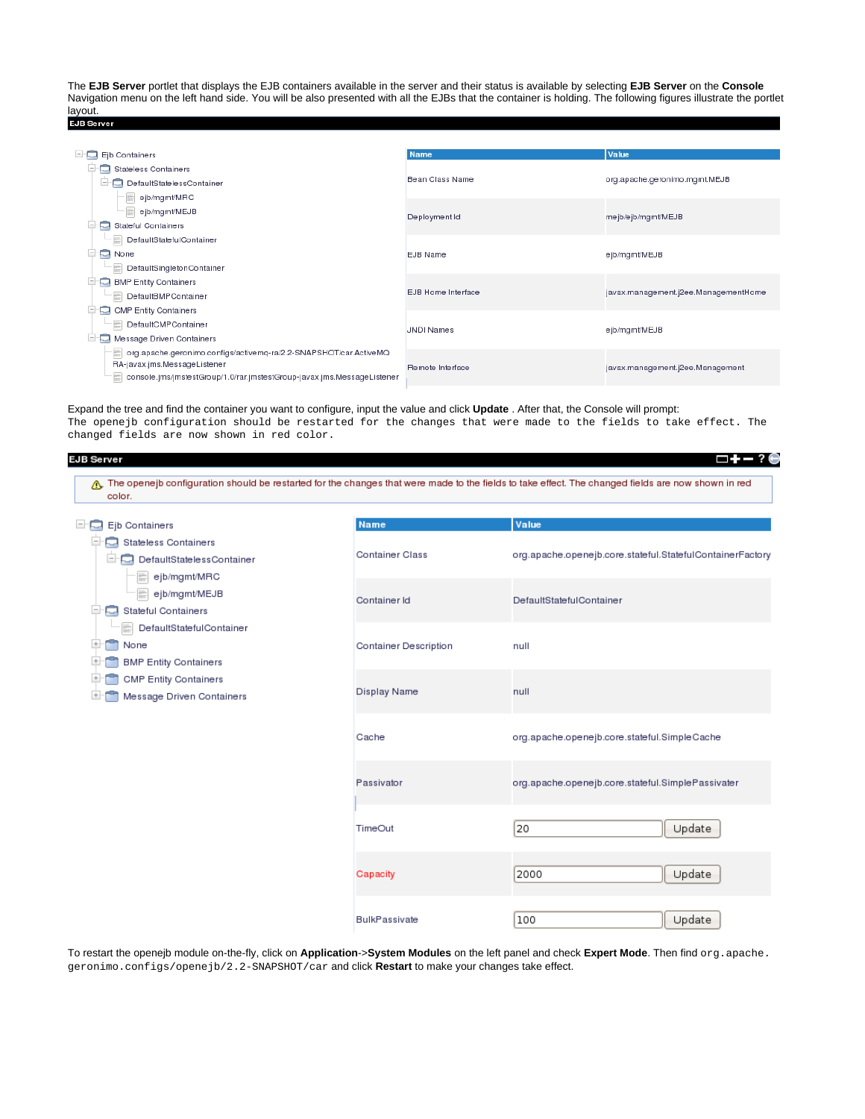The **EJB Server** portlet that displays the EJB containers available in the server and their status is available by selecting **EJB Server** on the **Console** Navigation menu on the left hand side. You will be also presented with all the EJBs that the container is holding. The following figures illustrate the portlet layout.<br>EJB Server

| 86 C<br>Ejb Containers                                                                                                                                                       | <b>Name</b>            | Value                                |
|------------------------------------------------------------------------------------------------------------------------------------------------------------------------------|------------------------|--------------------------------------|
| Stateless Containers<br>ᇦ<br>DefaultStatelessContainer                                                                                                                       | <b>Bean Class Name</b> | org.apache.geronimo.mgmt.MEJB        |
| ejb/mgmt/MRC<br>$\frac{2\pi\lambda^2}{4\pi\lambda^2}$                                                                                                                        |                        |                                      |
| □ ejb/mgmt/MEJB                                                                                                                                                              | Deployment Id          | mejb/ejb/mgmt/MEJB                   |
| <b>Stateful Containers</b><br>ᆿ                                                                                                                                              |                        |                                      |
| $\frac{1}{12000}$<br>DefaultStatefulContainer                                                                                                                                |                        |                                      |
| E<br>⊐<br>None                                                                                                                                                               | <b>EJB Name</b>        | ejb/mgmt/MEJB                        |
| DefaultSingletonContainer                                                                                                                                                    |                        |                                      |
| <b>BMP Entity Containers</b>                                                                                                                                                 |                        |                                      |
| DefaultBMPContainer                                                                                                                                                          | EJB Home Interface     | javax.management.j2ee.ManagementHome |
| <b>CMP Entity Containers</b><br>▭                                                                                                                                            |                        |                                      |
| DefaultCMPContainer<br>$\frac{2\pi\lambda}{2\lambda\lambda\lambda}$                                                                                                          | <b>JNDI Names</b>      | ejb/mgmt/MEJB                        |
| ĒH<br>▭<br>Message Driven Containers                                                                                                                                         |                        |                                      |
| org.apache.geronimo.configs/activemq-ra/2.2-SNAPSHOT/car.ActiveMQ<br>RA-javax.jms.MessageListener<br>console.jms/jmstestGroup/1.0/rar.jmstestGroup-javax.jms.MessageListener | Remote Interface       | javax.management.j2ee.Management     |

Expand the tree and find the container you want to configure, input the value and click **Update** . After that, the Console will prompt: The openejb configuration should be restarted for the changes that were made to the fields to take effect. The changed fields are now shown in red color.

| color.                                                                                                                                                                                                                                                                                                          |                        |                                                           |
|-----------------------------------------------------------------------------------------------------------------------------------------------------------------------------------------------------------------------------------------------------------------------------------------------------------------|------------------------|-----------------------------------------------------------|
| Ejb Containers<br>-4                                                                                                                                                                                                                                                                                            | <b>Name</b>            | Value                                                     |
| Stateless Containers<br>E<br>E<br>DefaultStatelessContainer<br>ejb/mgmt/MRC<br>ejb/mgmt/MEJB<br><b>Stateful Containers</b><br>$\vert$ $\vert$<br>ᇦ<br>DefaultStatefulContainer<br>$+$<br>None<br><b>BMP Entity Containers</b><br>$+$<br><b>CMP Entity Containers</b><br>$+$<br>Message Driven Containers<br>$+$ | <b>Container Class</b> | org.apache.openejb.core.stateful.StatefulContainerFactory |
|                                                                                                                                                                                                                                                                                                                 | Container Id           | DefaultStatefulContainer                                  |
|                                                                                                                                                                                                                                                                                                                 | Container Description  | null                                                      |
|                                                                                                                                                                                                                                                                                                                 | <b>Display Name</b>    | null                                                      |
|                                                                                                                                                                                                                                                                                                                 | Cache                  | org.apache.openejb.core.stateful.SimpleCache              |
|                                                                                                                                                                                                                                                                                                                 | Passivator             | org.apache.openejb.core.stateful.SimplePassivater         |
|                                                                                                                                                                                                                                                                                                                 | TimeOut                | Update<br>20                                              |
|                                                                                                                                                                                                                                                                                                                 | Capacity               | Update<br>2000                                            |

To restart the openejb module on-the-fly, click on **Application**->**System Modules** on the left panel and check **Expert Mode**. Then find org.apache. geronimo.configs/openejb/2.2-SNAPSHOT/car and click **Restart** to make your changes take effect.